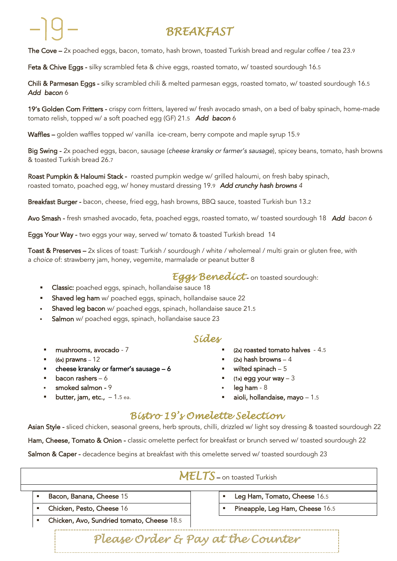# *BREAKFAST*

The Cove - 2x poached eggs, bacon, tomato, hash brown, toasted Turkish bread and regular coffee / tea 23.9

Feta & Chive Eggs - silky scrambled feta & chive eggs, roasted tomato, w/ toasted sourdough 16.5

Chili & Parmesan Eggs - silky scrambled chili & melted parmesan eggs, roasted tomato, w/ toasted sourdough 16.5 *Add bacon* 6

19's Golden Corn Fritters - crispy corn fritters, layered w/ fresh avocado smash, on a bed of baby spinach, home-made tomato relish, topped w/ a soft poached egg (GF) 21.5 *Add bacon* 6

Waffles – golden waffles topped w/ vanilla ice-cream, berry compote and maple syrup 15.9

Big Swing - 2x poached eggs, bacon, sausage (*cheese kransky or farmer's sausage*), spicey beans, tomato, hash browns & toasted Turkish bread 26.7

Roast Pumpkin & Haloumi Stack - roasted pumpkin wedge w/ grilled haloumi, on fresh baby spinach, roasted tomato, poached egg, w/ honey mustard dressing 19.9 *Add crunchy hash browns 4*

Breakfast Burger - bacon, cheese, fried egg, hash browns, BBQ sauce, toasted Turkish bun 13.2

Avo Smash - fresh smashed avocado, feta, poached eggs, roasted tomato, w/ toasted sourdough 18 *Add bacon* 6

Eggs Your Way - two eggs your way, served w/ tomato & toasted Turkish bread 14

Toast & Preserves – 2x slices of toast: Turkish / sourdough / white / wholemeal / multi grain or gluten free, with a *choice* of: strawberry jam, honey, vegemite, marmalade or peanut butter 8

#### *Eggs Benedict* - on toasted sourdough:

- **Classic:** poached eggs, spinach, hollandaise sauce 18
- § Shaved leg ham w/ poached eggs, spinach, hollandaise sauce 22
- Shaved leg bacon w/ poached eggs, spinach, hollandaise sauce 21.5
- Salmon w/ poached eggs, spinach, hollandaise sauce 23

#### *Sides*

- § mushrooms, avocado 7
- $(6x)$  prawns  $-12$
- cheese kransky or farmer's sausage  $-6$   $\blacksquare$  wilted spinach  $-5$
- 
- smoked salmon 9 **induced salmon** 8

ł

- § (2x) roasted tomato halves 4.5
- $(2x)$  hash browns 4
- 
- bacon rashers 6  $\blacksquare$  (1x) egg your way 3
	-
- **butter, jam, etc.,**  $-1.5$  ea.  $\qquad \qquad \bullet$  **aioli, hollandaise, mayo**  $-1.5$

### *Bistro 19's Omelette Selection*

Asian Style - sliced chicken, seasonal greens, herb sprouts, chilli, drizzled w/light soy dressing & toasted sourdough 22 Ham, Cheese, Tomato & Onion - classic omelette perfect for breakfast or brunch served w/ toasted sourdough 22 Salmon & Caper - decadence begins at breakfast with this omelette served w/ toasted sourdough 23

|                                            | MELTS - on toasted Turkish      |
|--------------------------------------------|---------------------------------|
| Bacon, Banana, Cheese 15                   | Leg Ham, Tomato, Cheese 16.5    |
| Chicken, Pesto, Cheese 16                  | Pineapple, Leg Ham, Cheese 16.5 |
| Chicken, Avo, Sundried tomato, Cheese 18.5 |                                 |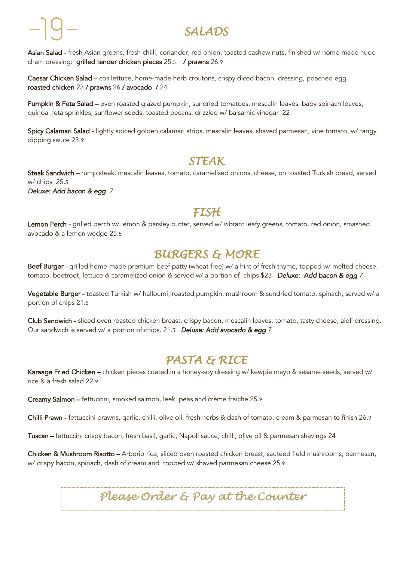# *SALADS*

Asian Salad - fresh Asian greens, fresh chilli, coriander, red onion, toasted cashew nuts, finished w/ home-made nuoc cham dressing: grilled tender chicken pieces 25.5 / prawns 26.9

Caesar Chicken Salad – cos lettuce, home-made herb croutons, crispy diced bacon, dressing, poached egg roasted chicken 23 / prawns 26 / avocado / 24

Pumpkin & Feta Salad – oven roasted glazed pumpkin, sundried tomatoes, mescalin leaves, baby spinach leaves, quinoa ,feta sprinkles, sunflower seeds, toasted pecans, drizzled w/ balsamic vinegar 22

Spicy Calamari Salad - lightly spiced golden calamari strips, mescalin leaves, shaved parmesan, vine tomato, w/ tangy dipping sauce 23.9

## *STEAK*

Steak Sandwich – rump steak, mescalin leaves, tomato, caramelised onions, cheese, on toasted Turkish bread, served w/ chips 25.5

*Deluxe: Add bacon & egg 7*

ł

## *FISH*

Lemon Perch - grilled perch w/ lemon & parsley butter, served w/ vibrant leafy greens, tomato, red onion, smashed avocado & a lemon wedge 25.5

## *BURGERS & MORE*

Beef Burger - grilled home-made premium beef patty (wheat free) w/ a hint of fresh thyme, topped w/ melted cheese, tomato, beetroot, lettuce & caramelized onion & served w/ a portion of chips \$23 *Deluxe: Add bacon & egg 7* 

Vegetable Burger - toasted Turkish w/ halloumi, roasted pumpkin, mushroom & sundried tomato, spinach, served w/ a portion of chips 21.5

Club Sandwich - sliced oven roasted chicken breast, crispy bacon, mescalin leaves, tomato, tasty cheese, aioli dressing. Our sandwich is served w/ a portion of chips. 21.5 *Deluxe: Add avocado & egg 7*

## *PASTA & RICE*

Karaage Fried Chicken – chicken pieces coated in a honey-soy dressing w/ kewpie mayo & sesame seeds, served w/ rice & a fresh salad 22.9

Creamy Salmon – fettuccini, smoked salmon, leek, peas and crème fraiche 25.9

Chilli Prawn - fettuccini prawns, garlic, chilli, olive oil, fresh herbs & dash of tomato, cream & parmesan to finish 26.9

Tuscan – fettuccini crispy bacon, fresh basil, garlic, Napoli sauce, chilli, olive oil & parmesan shavings 24

Chicken & Mushroom Risotto – Arborio rice, sliced oven roasted chicken breast, sautéed field mushrooms, parmesan, w/ crispy bacon, spinach, dash of cream and topped w/ shaved parmesan cheese 25.9

*Please Order & Pay at the Counter*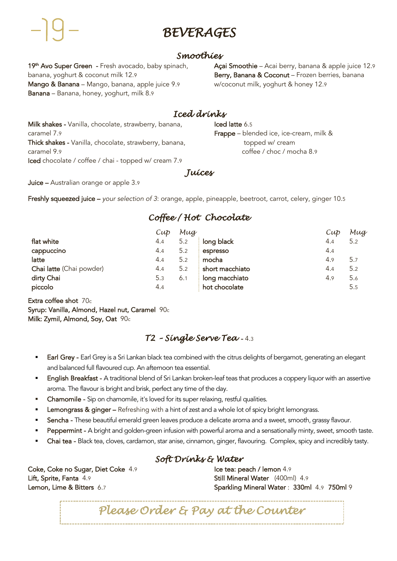## *BEVERAGES*

#### *Smoothies*

19<sup>th</sup> Avo Super Green - Fresh avocado, baby spinach, banana, yoghurt & coconut milk 12.9 Mango & Banana – Mango, banana, apple juice 9.9 Banana – Banana, honey, yoghurt, milk 8.9

Açai Smoothie – Acai berry, banana & apple juice 12.9 Berry, Banana & Coconut - Frozen berries, banana w/coconut milk, yoghurt & honey 12.9

## *Iced drinks*

Milk shakes - Vanilla, chocolate, strawberry, banana, caramel 7.9 Thick shakes - Vanilla, chocolate, strawberry, banana, caramel 9.9 Iced chocolate / coffee / chai - topped w/ cream 7.9

Iced latte 6.5 Frappe – blended ice, ice-cream, milk & topped w/ cream coffee / choc / mocha 8.9

*Juices* 

Juice – Australian orange or apple 3.9

Freshly squeezed juice – *your selection of 3*: orange, apple, pineapple, beetroot, carrot, celery, ginger 10.5

## *Coffee / Hot Chocolate*

|                          | $Cu\phi$ | Mug |                 | $Cu\phi$ | Mug |
|--------------------------|----------|-----|-----------------|----------|-----|
| flat white               | 4.4      | 5.2 | long black      | 4.4      | 5.2 |
| cappuccino               | 4.4      | 5.2 | espresso        | 4.4      |     |
| latte                    | 4.4      | 5.2 | mocha           | 4.9      | 5.7 |
| Chai latte (Chai powder) | 4.4      | 5.2 | short macchiato | 4.4      | 5.2 |
| dirty Chai               | 5.3      | 6.1 | long macchiato  | 4.9      | 5.6 |
| piccolo                  | 4.4      |     | hot chocolate   |          | 5.5 |

Extra coffee shot 70c Syrup: Vanilla, Almond, Hazel nut, Caramel 90c Milk: Zymil, Almond, Soy, Oat 90c

## *T2 – Single Serve Tea* - 4.3

- Earl Grey Earl Grey is a Sri Lankan black tea combined with the citrus delights of bergamot, generating an elegant and balanced full flavoured cup. An afternoon tea essential.
- English Breakfast A traditional blend of Sri Lankan broken-leaf teas that produces a coppery liquor with an assertive aroma. The flavour is bright and brisk, perfect any time of the day.
- § Chamomile Sip on chamomile, it's loved for its super relaxing, restful qualities.
- Lemongrass & ginger Refreshing with a hint of zest and a whole lot of spicy bright lemongrass.
- Sencha These beautiful emerald green leaves produce a delicate aroma and a sweet, smooth, grassy flavour.
- Peppermint A bright and golden-green infusion with powerful aroma and a sensationally minty, sweet, smooth taste.
- Chai tea Black tea, cloves, cardamon, star anise, cinnamon, ginger, flavouring. Complex, spicy and incredibly tasty.

#### *Soft Drinks & Water*

Coke, Coke no Sugar, Diet Coke 4.9 Lift, Sprite, Fanta 4.9 Lemon, Lime & Bitters 6.7

Ice tea: peach / lemon 4.9 Still Mineral Water (400ml) 4.9 Sparkling Mineral Water : 330ml 4.9 750ml 9

*Please Order & Pay at the Counter*